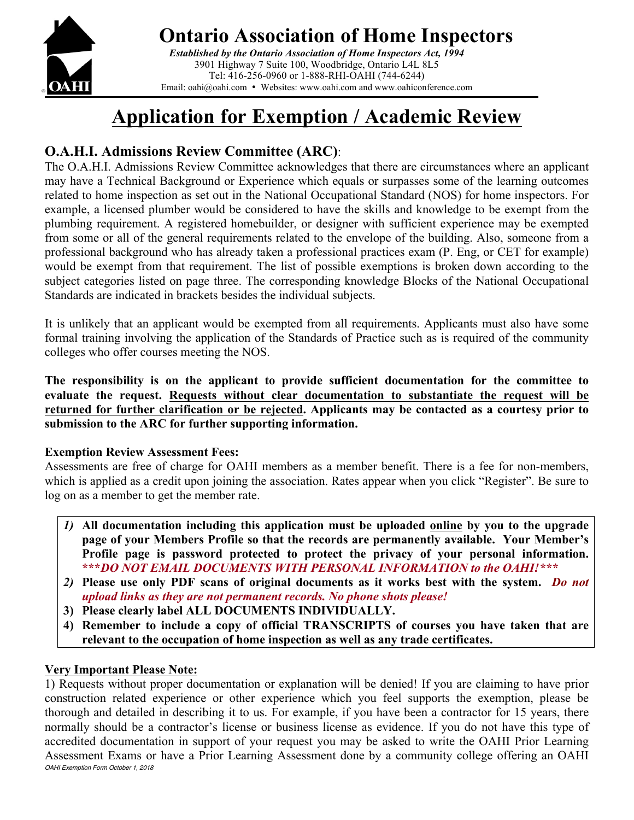

## **Ontario Association of Home Inspectors**

*Established by the Ontario Association of Home Inspectors Act, 1994* 3901 Highway 7 Suite 100, Woodbridge, Ontario L4L 8L5 Tel: 416-256-0960 or 1-888-RHI-OAHI (744-6244) Email: oahi@oahi.com • Websites: www.oahi.com and www.oahiconference.com

# **Application for Exemption / Academic Review**

### **O.A.H.I. Admissions Review Committee (ARC)**:

The O.A.H.I. Admissions Review Committee acknowledges that there are circumstances where an applicant may have a Technical Background or Experience which equals or surpasses some of the learning outcomes related to home inspection as set out in the National Occupational Standard (NOS) for home inspectors. For example, a licensed plumber would be considered to have the skills and knowledge to be exempt from the plumbing requirement. A registered homebuilder, or designer with sufficient experience may be exempted from some or all of the general requirements related to the envelope of the building. Also, someone from a professional background who has already taken a professional practices exam (P. Eng, or CET for example) would be exempt from that requirement. The list of possible exemptions is broken down according to the subject categories listed on page three. The corresponding knowledge Blocks of the National Occupational Standards are indicated in brackets besides the individual subjects.

It is unlikely that an applicant would be exempted from all requirements. Applicants must also have some formal training involving the application of the Standards of Practice such as is required of the community colleges who offer courses meeting the NOS.

**The responsibility is on the applicant to provide sufficient documentation for the committee to evaluate the request. Requests without clear documentation to substantiate the request will be returned for further clarification or be rejected. Applicants may be contacted as a courtesy prior to submission to the ARC for further supporting information.** 

#### **Exemption Review Assessment Fees:**

Assessments are free of charge for OAHI members as a member benefit. There is a fee for non-members, which is applied as a credit upon joining the association. Rates appear when you click "Register". Be sure to log on as a member to get the member rate.

- *1)* **All documentation including this application must be uploaded online by you to the upgrade page of your Members Profile so that the records are permanently available. Your Member's Profile page is password protected to protect the privacy of your personal information. \*\*\****DO NOT EMAIL DOCUMENTS WITH PERSONAL INFORMATION to the OAHI!\*\*\**
- *2)* **Please use only PDF scans of original documents as it works best with the system.** *Do not upload links as they are not permanent records. No phone shots please!*
- **3) Please clearly label ALL DOCUMENTS INDIVIDUALLY.**
- **4) Remember to include a copy of official TRANSCRIPTS of courses you have taken that are relevant to the occupation of home inspection as well as any trade certificates.**

#### **Very Important Please Note:**

OAHI Exemption Form October 1, 2018 1) Requests without proper documentation or explanation will be denied! If you are claiming to have prior construction related experience or other experience which you feel supports the exemption, please be thorough and detailed in describing it to us. For example, if you have been a contractor for 15 years, there normally should be a contractor's license or business license as evidence. If you do not have this type of accredited documentation in support of your request you may be asked to write the OAHI Prior Learning Assessment Exams or have a Prior Learning Assessment done by a community college offering an OAHI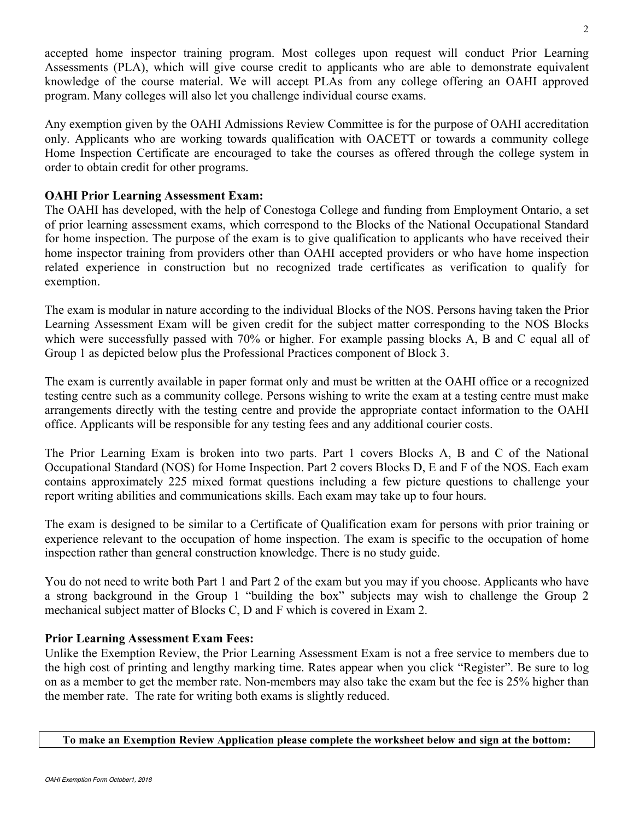accepted home inspector training program. Most colleges upon request will conduct Prior Learning Assessments (PLA), which will give course credit to applicants who are able to demonstrate equivalent knowledge of the course material. We will accept PLAs from any college offering an OAHI approved program. Many colleges will also let you challenge individual course exams.

Any exemption given by the OAHI Admissions Review Committee is for the purpose of OAHI accreditation only. Applicants who are working towards qualification with OACETT or towards a community college Home Inspection Certificate are encouraged to take the courses as offered through the college system in order to obtain credit for other programs.

#### **OAHI Prior Learning Assessment Exam:**

The OAHI has developed, with the help of Conestoga College and funding from Employment Ontario, a set of prior learning assessment exams, which correspond to the Blocks of the National Occupational Standard for home inspection. The purpose of the exam is to give qualification to applicants who have received their home inspector training from providers other than OAHI accepted providers or who have home inspection related experience in construction but no recognized trade certificates as verification to qualify for exemption.

The exam is modular in nature according to the individual Blocks of the NOS. Persons having taken the Prior Learning Assessment Exam will be given credit for the subject matter corresponding to the NOS Blocks which were successfully passed with 70% or higher. For example passing blocks A, B and C equal all of Group 1 as depicted below plus the Professional Practices component of Block 3.

The exam is currently available in paper format only and must be written at the OAHI office or a recognized testing centre such as a community college. Persons wishing to write the exam at a testing centre must make arrangements directly with the testing centre and provide the appropriate contact information to the OAHI office. Applicants will be responsible for any testing fees and any additional courier costs.

The Prior Learning Exam is broken into two parts. Part 1 covers Blocks A, B and C of the National Occupational Standard (NOS) for Home Inspection. Part 2 covers Blocks D, E and F of the NOS. Each exam contains approximately 225 mixed format questions including a few picture questions to challenge your report writing abilities and communications skills. Each exam may take up to four hours.

The exam is designed to be similar to a Certificate of Qualification exam for persons with prior training or experience relevant to the occupation of home inspection. The exam is specific to the occupation of home inspection rather than general construction knowledge. There is no study guide.

You do not need to write both Part 1 and Part 2 of the exam but you may if you choose. Applicants who have a strong background in the Group 1 "building the box" subjects may wish to challenge the Group 2 mechanical subject matter of Blocks C, D and F which is covered in Exam 2.

#### **Prior Learning Assessment Exam Fees:**

Unlike the Exemption Review, the Prior Learning Assessment Exam is not a free service to members due to the high cost of printing and lengthy marking time. Rates appear when you click "Register". Be sure to log on as a member to get the member rate. Non-members may also take the exam but the fee is 25% higher than the member rate. The rate for writing both exams is slightly reduced.

#### **To make an Exemption Review Application please complete the worksheet below and sign at the bottom:**